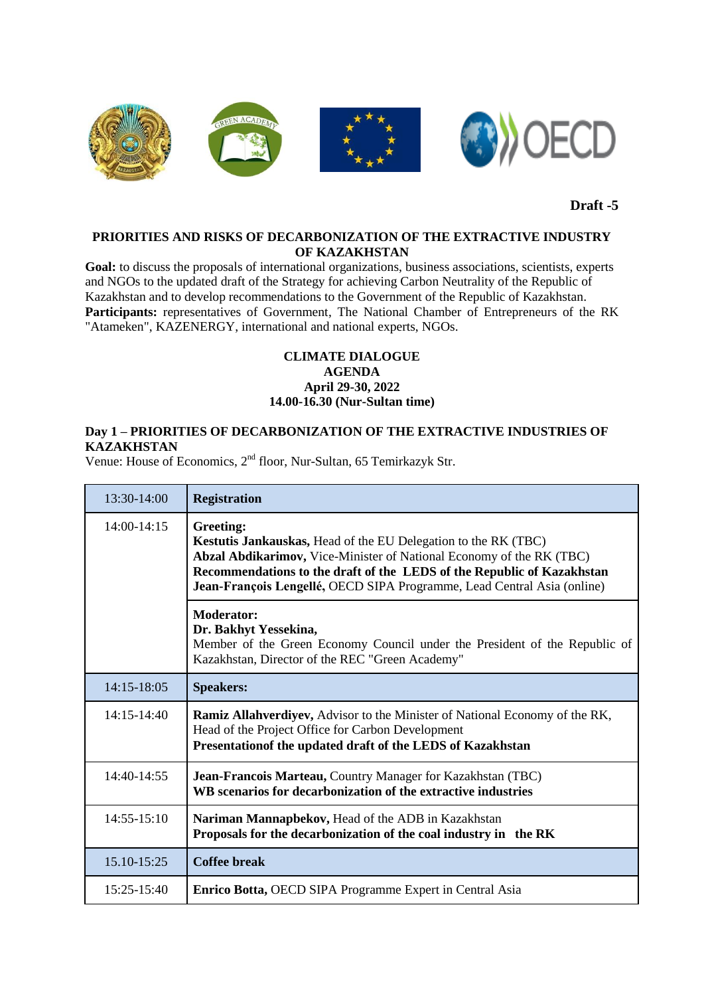

**Draft -5**

## **PRIORITIES AND RISKS OF DECARBONIZATION OF THE EXTRACTIVE INDUSTRY OF KAZAKHSTAN**

Goal: to discuss the proposals of international organizations, business associations, scientists, experts and NGOs to the updated draft of the Strategy for achieving Carbon Neutrality of the Republic of Kazakhstan and to develop recommendations to the Government of the Republic of Kazakhstan. Participants: representatives of Government, The National Chamber of Entrepreneurs of the RK "Atameken", KAZENERGY, international and national experts, NGOs.

## **CLIMATE DIALOGUE AGENDA April 29-30, 2022 14.00-16.30 (Nur-Sultan time)**

## **Day 1 – PRIORITIES OF DECARBONIZATION OF THE EXTRACTIVE INDUSTRIES OF KAZAKHSTAN**

Venue: House of Economics, 2<sup>nd</sup> floor, Nur-Sultan, 65 Temirkazyk Str.

| 13:30-14:00     | <b>Registration</b>                                                                                                                                                                                                                                                                                      |
|-----------------|----------------------------------------------------------------------------------------------------------------------------------------------------------------------------------------------------------------------------------------------------------------------------------------------------------|
| $14:00-14:15$   | Greeting:<br>Kestutis Jankauskas, Head of the EU Delegation to the RK (TBC)<br>Abzal Abdikarimov, Vice-Minister of National Economy of the RK (TBC)<br>Recommendations to the draft of the LEDS of the Republic of Kazakhstan<br>Jean-François Lengellé, OECD SIPA Programme, Lead Central Asia (online) |
|                 | <b>Moderator:</b><br>Dr. Bakhyt Yessekina,<br>Member of the Green Economy Council under the President of the Republic of<br>Kazakhstan, Director of the REC "Green Academy"                                                                                                                              |
| 14:15-18:05     | <b>Speakers:</b>                                                                                                                                                                                                                                                                                         |
| $14:15-14:40$   | <b>Ramiz Allahverdiyev, Advisor to the Minister of National Economy of the RK,</b><br>Head of the Project Office for Carbon Development<br>Presentation of the updated draft of the LEDS of Kazakhstan                                                                                                   |
| 14:40-14:55     | Jean-Francois Marteau, Country Manager for Kazakhstan (TBC)<br>WB scenarios for decarbonization of the extractive industries                                                                                                                                                                             |
| $14:55 - 15:10$ | Nariman Mannapbekov, Head of the ADB in Kazakhstan<br>Proposals for the decarbonization of the coal industry in the RK                                                                                                                                                                                   |
| 15.10-15:25     | <b>Coffee break</b>                                                                                                                                                                                                                                                                                      |
| 15:25-15:40     | Enrico Botta, OECD SIPA Programme Expert in Central Asia                                                                                                                                                                                                                                                 |